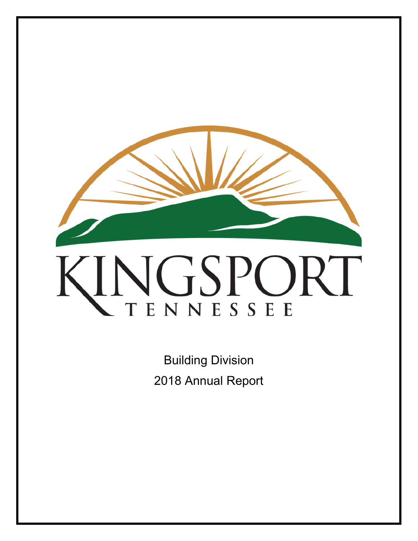

Building Division 2018 Annual Report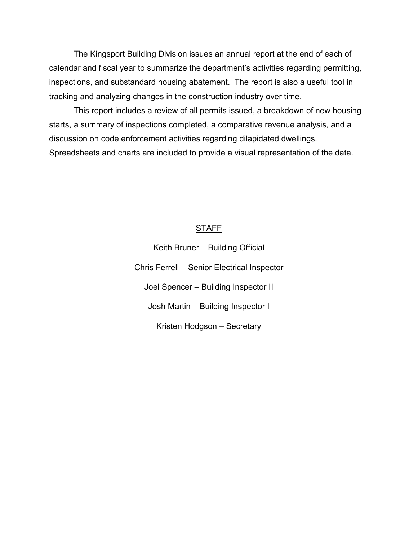The Kingsport Building Division issues an annual report at the end of each of calendar and fiscal year to summarize the department's activities regarding permitting, inspections, and substandard housing abatement. The report is also a useful tool in tracking and analyzing changes in the construction industry over time.

This report includes a review of all permits issued, a breakdown of new housing starts, a summary of inspections completed, a comparative revenue analysis, and a discussion on code enforcement activities regarding dilapidated dwellings. Spreadsheets and charts are included to provide a visual representation of the data.

# **STAFF**

Keith Bruner – Building Official Chris Ferrell – Senior Electrical Inspector Joel Spencer – Building Inspector II Josh Martin – Building Inspector I Kristen Hodgson – Secretary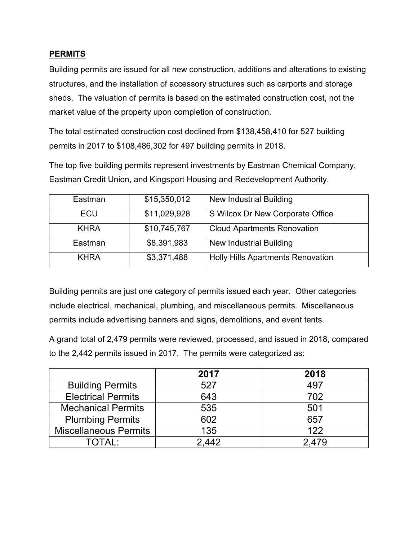## **PERMITS**

Building permits are issued for all new construction, additions and alterations to existing structures, and the installation of accessory structures such as carports and storage sheds. The valuation of permits is based on the estimated construction cost, not the market value of the property upon completion of construction.

The total estimated construction cost declined from \$138,458,410 for 527 building permits in 2017 to \$108,486,302 for 497 building permits in 2018.

The top five building permits represent investments by Eastman Chemical Company, Eastman Credit Union, and Kingsport Housing and Redevelopment Authority.

| Eastman     | \$15,350,012 | New Industrial Building                  |
|-------------|--------------|------------------------------------------|
| ECU         | \$11,029,928 | S Wilcox Dr New Corporate Office         |
| <b>KHRA</b> | \$10,745,767 | <b>Cloud Apartments Renovation</b>       |
| Eastman     | \$8,391,983  | New Industrial Building                  |
| <b>KHRA</b> | \$3,371,488  | <b>Holly Hills Apartments Renovation</b> |

Building permits are just one category of permits issued each year. Other categories include electrical, mechanical, plumbing, and miscellaneous permits. Miscellaneous permits include advertising banners and signs, demolitions, and event tents.

A grand total of 2,479 permits were reviewed, processed, and issued in 2018, compared to the 2,442 permits issued in 2017. The permits were categorized as:

|                              | 2017  | 2018  |
|------------------------------|-------|-------|
| <b>Building Permits</b>      | 527   | 497   |
| <b>Electrical Permits</b>    | 643   | 702   |
| <b>Mechanical Permits</b>    | 535   | 501   |
| <b>Plumbing Permits</b>      | 602   | 657   |
| <b>Miscellaneous Permits</b> | 135   | 122   |
| TOTAL:                       | 2.442 | 2.479 |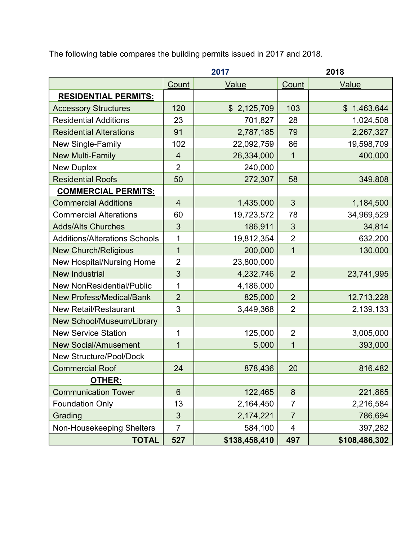The following table compares the building permits issued in 2017 and 2018.

|                                      | 2017           |               | 2018           |               |
|--------------------------------------|----------------|---------------|----------------|---------------|
|                                      | Count          | Value         | Count          | Value         |
| <b>RESIDENTIAL PERMITS:</b>          |                |               |                |               |
| <b>Accessory Structures</b>          | 120            | \$2,125,709   | 103            | \$1,463,644   |
| <b>Residential Additions</b>         | 23             | 701,827       | 28             | 1,024,508     |
| <b>Residential Alterations</b>       | 91             | 2,787,185     | 79             | 2,267,327     |
| New Single-Family                    | 102            | 22,092,759    | 86             | 19,598,709    |
| <b>New Multi-Family</b>              | $\overline{4}$ | 26,334,000    | $\mathbf{1}$   | 400,000       |
| <b>New Duplex</b>                    | $\overline{2}$ | 240,000       |                |               |
| <b>Residential Roofs</b>             | 50             | 272,307       | 58             | 349,808       |
| <b>COMMERCIAL PERMITS:</b>           |                |               |                |               |
| <b>Commercial Additions</b>          | $\overline{4}$ | 1,435,000     | 3              | 1,184,500     |
| <b>Commercial Alterations</b>        | 60             | 19,723,572    | 78             | 34,969,529    |
| <b>Adds/Alts Churches</b>            | 3              | 186,911       | 3              | 34,814        |
| <b>Additions/Alterations Schools</b> | 1              | 19,812,354    | $\overline{2}$ | 632,200       |
| <b>New Church/Religious</b>          | $\overline{1}$ | 200,000       | $\mathbf{1}$   | 130,000       |
| New Hospital/Nursing Home            | $\overline{2}$ | 23,800,000    |                |               |
| <b>New Industrial</b>                | 3              | 4,232,746     | $\overline{2}$ | 23,741,995    |
| <b>New NonResidential/Public</b>     | 1              | 4,186,000     |                |               |
| <b>New Profess/Medical/Bank</b>      | $\overline{2}$ | 825,000       | $\overline{2}$ | 12,713,228    |
| <b>New Retail/Restaurant</b>         | 3              | 3,449,368     | $\overline{2}$ | 2,139,133     |
| New School/Museum/Library            |                |               |                |               |
| <b>New Service Station</b>           | 1              | 125,000       | $\overline{2}$ | 3,005,000     |
| <b>New Social/Amusement</b>          | $\overline{1}$ | 5,000         | $\mathbf{1}$   | 393,000       |
| <b>New Structure/Pool/Dock</b>       |                |               |                |               |
| <b>Commercial Roof</b>               | 24             | 878,436       | 20             | 816,482       |
| <b>OTHER:</b>                        |                |               |                |               |
| <b>Communication Tower</b>           | $6\phantom{1}$ | 122,465       | 8              | 221,865       |
| <b>Foundation Only</b>               | 13             | 2,164,450     | $\overline{7}$ | 2,216,584     |
| Grading                              | $\mathfrak{S}$ | 2,174,221     | $\overline{7}$ | 786,694       |
| Non-Housekeeping Shelters            | 7              | 584,100       | 4              | 397,282       |
| <b>TOTAL</b>                         | 527            | \$138,458,410 | 497            | \$108,486,302 |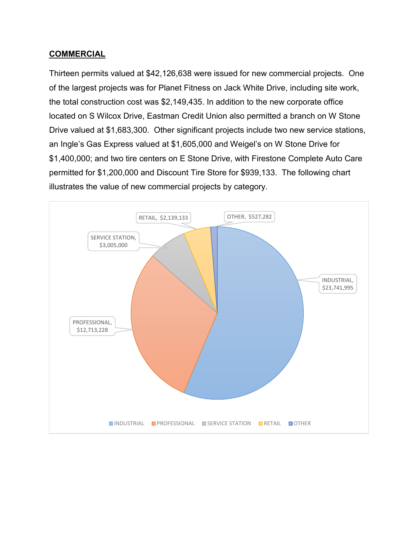#### **COMMERCIAL**

Thirteen permits valued at \$42,126,638 were issued for new commercial projects. One of the largest projects was for Planet Fitness on Jack White Drive, including site work, the total construction cost was \$2,149,435. In addition to the new corporate office located on S Wilcox Drive, Eastman Credit Union also permitted a branch on W Stone Drive valued at \$1,683,300. Other significant projects include two new service stations, an Ingle's Gas Express valued at \$1,605,000 and Weigel's on W Stone Drive for \$1,400,000; and two tire centers on E Stone Drive, with Firestone Complete Auto Care permitted for \$1,200,000 and Discount Tire Store for \$939,133. The following chart illustrates the value of new commercial projects by category.

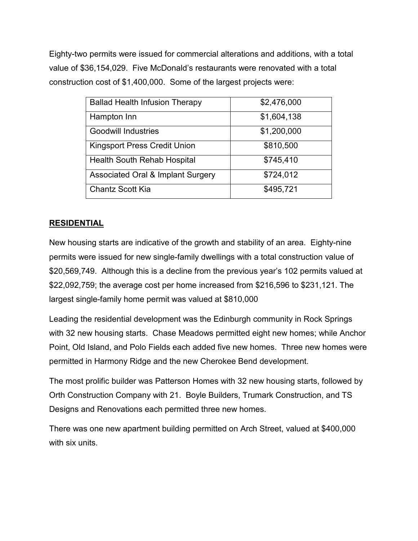Eighty-two permits were issued for commercial alterations and additions, with a total value of \$36,154,029. Five McDonald's restaurants were renovated with a total construction cost of \$1,400,000. Some of the largest projects were:

| <b>Ballad Health Infusion Therapy</b>        | \$2,476,000 |  |  |
|----------------------------------------------|-------------|--|--|
| Hampton Inn                                  | \$1,604,138 |  |  |
| <b>Goodwill Industries</b>                   | \$1,200,000 |  |  |
| <b>Kingsport Press Credit Union</b>          | \$810,500   |  |  |
| Health South Rehab Hospital                  | \$745,410   |  |  |
| <b>Associated Oral &amp; Implant Surgery</b> | \$724,012   |  |  |
| <b>Chantz Scott Kia</b>                      | \$495,721   |  |  |

# **RESIDENTIAL**

New housing starts are indicative of the growth and stability of an area. Eighty-nine permits were issued for new single-family dwellings with a total construction value of \$20,569,749. Although this is a decline from the previous year's 102 permits valued at \$22,092,759; the average cost per home increased from \$216,596 to \$231,121. The largest single-family home permit was valued at \$810,000

Leading the residential development was the Edinburgh community in Rock Springs with 32 new housing starts. Chase Meadows permitted eight new homes; while Anchor Point, Old Island, and Polo Fields each added five new homes. Three new homes were permitted in Harmony Ridge and the new Cherokee Bend development.

The most prolific builder was Patterson Homes with 32 new housing starts, followed by Orth Construction Company with 21. Boyle Builders, Trumark Construction, and TS Designs and Renovations each permitted three new homes.

There was one new apartment building permitted on Arch Street, valued at \$400,000 with six units.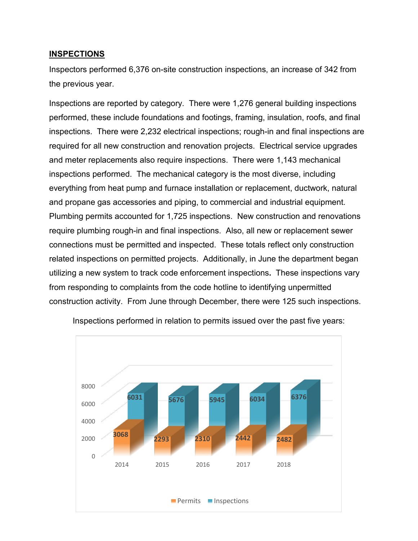#### **INSPECTIONS**

Inspectors performed 6,376 on-site construction inspections, an increase of 342 from the previous year.

Inspections are reported by category. There were 1,276 general building inspections performed, these include foundations and footings, framing, insulation, roofs, and final inspections. There were 2,232 electrical inspections; rough-in and final inspections are required for all new construction and renovation projects. Electrical service upgrades and meter replacements also require inspections. There were 1,143 mechanical inspections performed. The mechanical category is the most diverse, including everything from heat pump and furnace installation or replacement, ductwork, natural and propane gas accessories and piping, to commercial and industrial equipment. Plumbing permits accounted for 1,725 inspections. New construction and renovations require plumbing rough-in and final inspections. Also, all new or replacement sewer connections must be permitted and inspected. These totals reflect only construction related inspections on permitted projects. Additionally, in June the department began utilizing a new system to track code enforcement inspections**.** These inspections vary from responding to complaints from the code hotline to identifying unpermitted construction activity.From June through December, there were 125 such inspections.



Inspections performed in relation to permits issued over the past five years: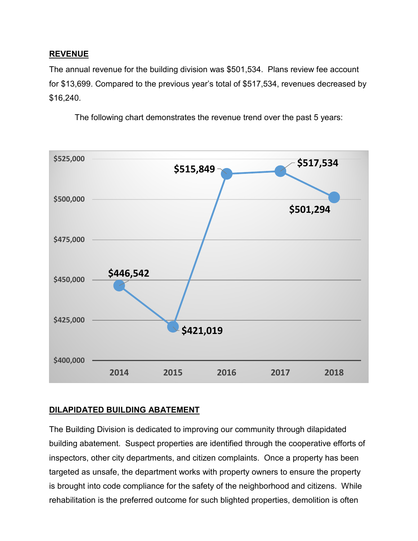## **REVENUE**

The annual revenue for the building division was \$501,534. Plans review fee account for \$13,699. Compared to the previous year's total of \$517,534, revenues decreased by \$16,240.

The following chart demonstrates the revenue trend over the past 5 years:



# **DILAPIDATED BUILDING ABATEMENT**

The Building Division is dedicated to improving our community through dilapidated building abatement. Suspect properties are identified through the cooperative efforts of inspectors, other city departments, and citizen complaints. Once a property has been targeted as unsafe, the department works with property owners to ensure the property is brought into code compliance for the safety of the neighborhood and citizens. While rehabilitation is the preferred outcome for such blighted properties, demolition is often